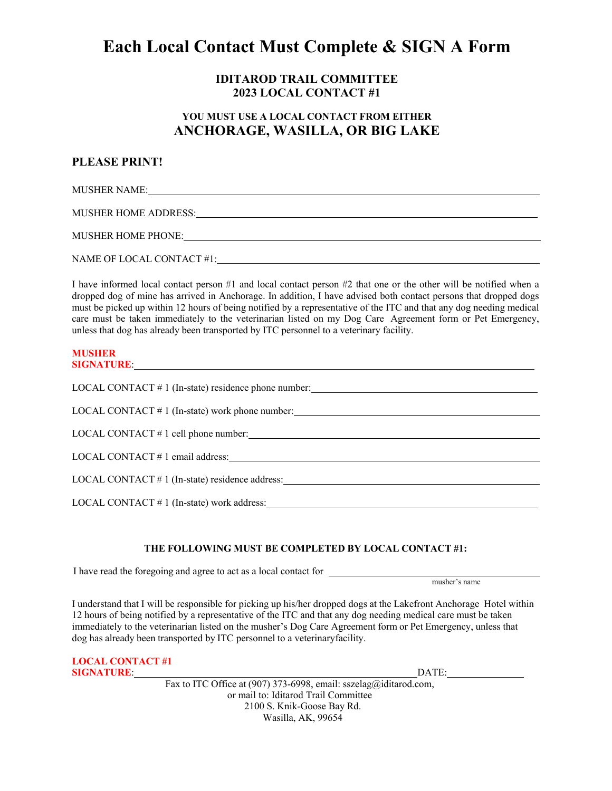# **Each Local Contact Must Complete & SIGN A Form**

### **IDITAROD TRAIL COMMITTEE 2023 LOCAL CONTACT #1**

## **YOU MUST USE A LOCAL CONTACT FROM EITHER ANCHORAGE, WASILLA, OR BIG LAKE**

### **PLEASE PRINT!**

MUSHER NAME:

MUSHER HOME ADDRESS:

MUSHER HOME PHONE:

NAME OF LOCAL CONTACT #1:

I have informed local contact person #1 and local contact person #2 that one or the other will be notified when a dropped dog of mine has arrived in Anchorage. In addition, I have advised both contact persons that dropped dogs must be picked up within 12 hours of being notified by a representative of the ITC and that any dog needing medical care must be taken immediately to the veterinarian listed on my Dog Care Agreement form or Pet Emergency, unless that dog has already been transported by ITC personnel to a veterinary facility.

#### **MUSHER SIGNATURE**:

| LOCAL CONTACT # 1 (In-state) residence phone number: ____________________________ |  |
|-----------------------------------------------------------------------------------|--|
| $LOCAL$ CONTACT $# 1$ (In-state) work phone number:                               |  |
| $LOCAL$ CONTACT $# 1$ cell phone number:                                          |  |
| $LOCAL$ CONTACT $# 1$ email address:                                              |  |
| $LOCAL$ CONTACT $#1$ (In-state) residence address:                                |  |
| LOCAL CONTACT $# 1$ (In-state) work address:                                      |  |

### **THE FOLLOWING MUST BE COMPLETED BY LOCAL CONTACT #1:**

I have read the foregoing and agree to act as a local contact for

musher's name

I understand that I will be responsible for picking up his/her dropped dogs at the Lakefront Anchorage Hotel within 12 hours of being notified by a representative of the ITC and that any dog needing medical care must be taken immediately to the veterinarian listed on the musher's Dog Care Agreement form or Pet Emergency, unless that dog has already been transported by ITC personnel to a veterinaryfacility.

| <b>LOCAL CONTACT #1</b> |  |  |       |
|-------------------------|--|--|-------|
| <b>SIGNATURE:</b>       |  |  | DATE: |
|                         |  |  |       |

Fax to ITC Office at (907) 373-6998, email: [sszelag@iditarod.com,](mailto:sszelag@iditarod.com) or mail to: Iditarod Trail Committee 2100 S. Knik-Goose Bay Rd. Wasilla, AK, 99654